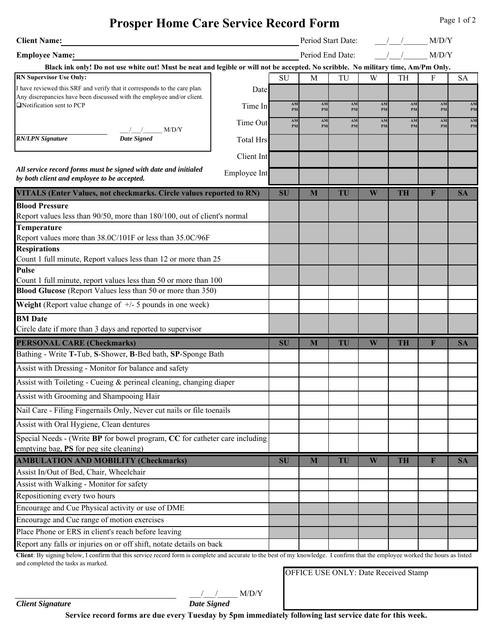## **Prosper Home Care Service Record Form**

| <b>Client Name:</b>                                                                                                                                 |                                                                                                                                    |                  | Period Start Date: |                  |          |          |           | M/D/Y    |           |
|-----------------------------------------------------------------------------------------------------------------------------------------------------|------------------------------------------------------------------------------------------------------------------------------------|------------------|--------------------|------------------|----------|----------|-----------|----------|-----------|
| <b>Employee Name:</b>                                                                                                                               |                                                                                                                                    |                  |                    | Period End Date: |          |          |           | M/D/Y    |           |
|                                                                                                                                                     | Black ink only! Do not use white out! Must be neat and legible or will not be accepted. No scribble. No military time, Am/Pm Only. |                  |                    |                  |          |          |           |          |           |
| <b>RN Supervisor Use Only:</b>                                                                                                                      |                                                                                                                                    |                  | <b>SU</b>          | M                | TU       | W        | TH        | F        | <b>SA</b> |
| I have reviewed this SRF and verify that it corresponds to the care plan.<br>Any discrepancies have been discussed with the employee and/or client. |                                                                                                                                    | Date             |                    |                  |          |          |           |          |           |
| Notification sent to PCP                                                                                                                            |                                                                                                                                    | Time In          | AM<br>PM           | AM<br>PM         | AM<br>PM | AM<br>PM | AM<br>PM  | AM<br>PM | AM<br>PM  |
|                                                                                                                                                     |                                                                                                                                    | Time Out         | AM                 | AM               | AM       | AM       | AM        | AM       | AM        |
| <b>RN/LPN Signature</b>                                                                                                                             | M/D/Y<br><b>Date Signed</b>                                                                                                        |                  | PM                 | PM               | PM       | PM       | PM        | PM       | PM        |
|                                                                                                                                                     |                                                                                                                                    | <b>Total Hrs</b> |                    |                  |          |          |           |          |           |
|                                                                                                                                                     |                                                                                                                                    | Client Int       |                    |                  |          |          |           |          |           |
| by both client and employee to be accepted.                                                                                                         | All service record forms must be signed with date and initialed                                                                    | Employee Int     |                    |                  |          |          |           |          |           |
|                                                                                                                                                     | VITALS (Enter Values, not checkmarks. Circle values reported to RN)                                                                |                  | SU                 | M                | TU       | W        | <b>TH</b> | F        | <b>SA</b> |
| <b>Blood Pressure</b>                                                                                                                               |                                                                                                                                    |                  |                    |                  |          |          |           |          |           |
| Report values less than 90/50, more than 180/100, out of client's normal                                                                            |                                                                                                                                    |                  |                    |                  |          |          |           |          |           |
| <b>Temperature</b>                                                                                                                                  |                                                                                                                                    |                  |                    |                  |          |          |           |          |           |
| Report values more than 38.0C/101F or less than 35.0C/96F<br><b>Respirations</b>                                                                    |                                                                                                                                    |                  |                    |                  |          |          |           |          |           |
| Count 1 full minute, Report values less than 12 or more than 25                                                                                     |                                                                                                                                    |                  |                    |                  |          |          |           |          |           |
| <b>Pulse</b>                                                                                                                                        |                                                                                                                                    |                  |                    |                  |          |          |           |          |           |
| Count 1 full minute, report values less than 50 or more than 100                                                                                    |                                                                                                                                    |                  |                    |                  |          |          |           |          |           |
| <b>Blood Glucose</b> (Report Values less than 50 or more than 350)                                                                                  |                                                                                                                                    |                  |                    |                  |          |          |           |          |           |
| <b>Weight</b> (Report value change of $+/-$ 5 pounds in one week)                                                                                   |                                                                                                                                    |                  |                    |                  |          |          |           |          |           |
| <b>BM</b> Date                                                                                                                                      |                                                                                                                                    |                  |                    |                  |          |          |           |          |           |
|                                                                                                                                                     | Circle date if more than 3 days and reported to supervisor                                                                         |                  |                    |                  |          |          |           |          |           |
| <b>PERSONAL CARE (Checkmarks)</b>                                                                                                                   |                                                                                                                                    |                  | <b>SU</b>          | M                | TU       | W        | <b>TH</b> | F        | <b>SA</b> |
|                                                                                                                                                     | Bathing - Write T-Tub, S-Shower, B-Bed bath, SP-Sponge Bath                                                                        |                  |                    |                  |          |          |           |          |           |
| Assist with Dressing - Monitor for balance and safety                                                                                               |                                                                                                                                    |                  |                    |                  |          |          |           |          |           |
| Assist with Toileting - Cueing $\&$ perineal cleaning, changing diaper                                                                              |                                                                                                                                    |                  |                    |                  |          |          |           |          |           |
| Assist with Grooming and Shampooing Hair                                                                                                            |                                                                                                                                    |                  |                    |                  |          |          |           |          |           |
| Nail Care - Filing Fingernails Only, Never cut nails or file toenails                                                                               |                                                                                                                                    |                  |                    |                  |          |          |           |          |           |
| Assist with Oral Hygiene, Clean dentures                                                                                                            |                                                                                                                                    |                  |                    |                  |          |          |           |          |           |
| Special Needs - (Write BP for bowel program, CC for catheter care including                                                                         |                                                                                                                                    |                  |                    |                  |          |          |           |          |           |
| emptying bag, <b>PS</b> for peg site cleaning)                                                                                                      |                                                                                                                                    |                  |                    |                  |          |          |           |          |           |
| <b>AMBULATION AND MOBILITY (Checkmarks)</b>                                                                                                         |                                                                                                                                    |                  | <b>SU</b>          | M                | TU       | W        | <b>TH</b> | F        | <b>SA</b> |
| Assist In/Out of Bed, Chair, Wheelchair                                                                                                             |                                                                                                                                    |                  |                    |                  |          |          |           |          |           |
| Assist with Walking - Monitor for safety                                                                                                            |                                                                                                                                    |                  |                    |                  |          |          |           |          |           |
| Repositioning every two hours                                                                                                                       |                                                                                                                                    |                  |                    |                  |          |          |           |          |           |
| Encourage and Cue Physical activity or use of DME                                                                                                   |                                                                                                                                    |                  |                    |                  |          |          |           |          |           |
| Encourage and Cue range of motion exercises                                                                                                         |                                                                                                                                    |                  |                    |                  |          |          |           |          |           |
| Place Phone or ERS in client's reach before leaving                                                                                                 |                                                                                                                                    |                  |                    |                  |          |          |           |          |           |
| Report any falls or injuries on or off shift, notate details on back                                                                                |                                                                                                                                    |                  |                    |                  |          |          |           |          |           |

**Client**: By signing below, I confirm that this service record form is complete and accurate to the best of my knowledge. I confirm that the employee worked the hours as listed and completed the tasks as marked.

OFFICE USE ONLY: Date Received Stamp

*Client Signature* 

 $\frac{1}{\text{Date Signal}}$  M/D/Y

**Service record forms are due every Tuesday by 5pm immediately following last service date for this week.**